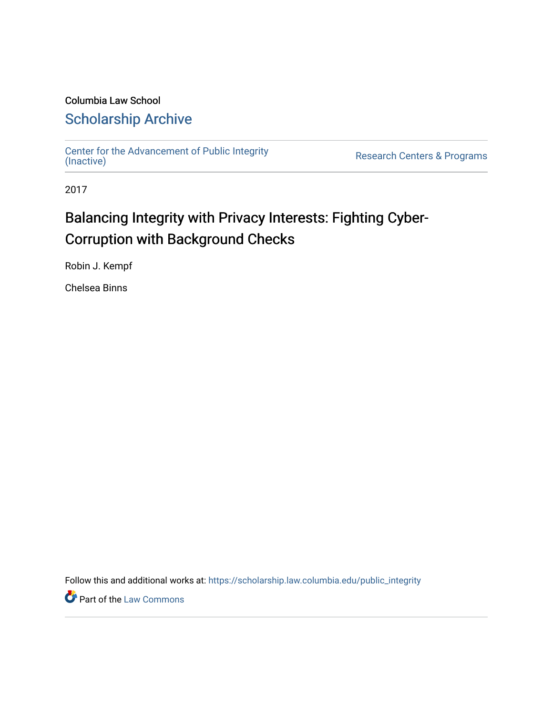### Columbia Law School [Scholarship Archive](https://scholarship.law.columbia.edu/)

[Center for the Advancement of Public Integrity](https://scholarship.law.columbia.edu/public_integrity)<br>(Inactive)

Research Centers & Programs

2017

## Balancing Integrity with Privacy Interests: Fighting Cyber-Corruption with Background Checks

Robin J. Kempf

Chelsea Binns

Follow this and additional works at: [https://scholarship.law.columbia.edu/public\\_integrity](https://scholarship.law.columbia.edu/public_integrity?utm_source=scholarship.law.columbia.edu%2Fpublic_integrity%2F45&utm_medium=PDF&utm_campaign=PDFCoverPages)

**Part of the [Law Commons](http://network.bepress.com/hgg/discipline/578?utm_source=scholarship.law.columbia.edu%2Fpublic_integrity%2F45&utm_medium=PDF&utm_campaign=PDFCoverPages)**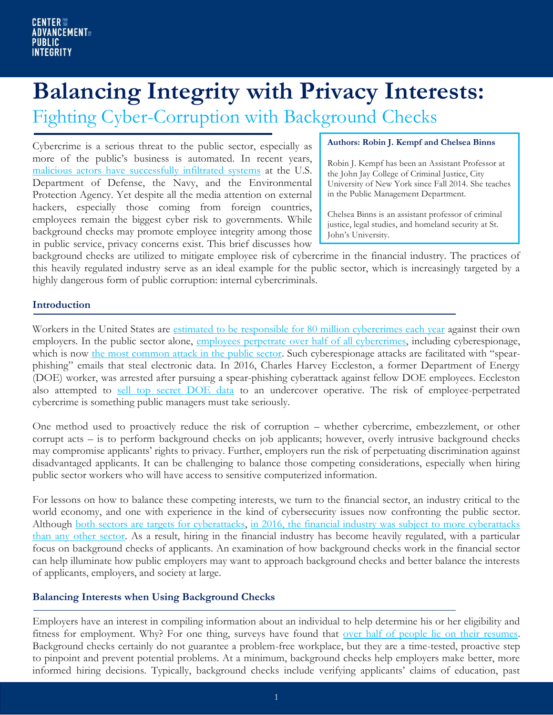# **Balancing Integrity with Privacy Interests:**

Fighting Cyber-Corruption with Background Checks

Cybercrime is a serious threat to the public sector, especially as more of the public's business is automated. In recent years, [malicious actors have successfully infiltrated systems](https://www.washingtonpost.com/world/nationalsecurity/chinese-government-has-arrested-hackers-suspected-of-breaching-opmdatabase/2015/12/02/0295b918-990c-11e5-8917-653b65c809eb_story.html) at the U.S. Department of Defense, the Navy, and the Environmental Protection Agency. Yet despite all the media attention on external hackers, especially those coming from foreign countries, employees remain the biggest cyber risk to governments. While background checks may promote employee integrity among those in public service, privacy concerns exist. This brief discusses how

#### **Authors: Robin J. Kempf and Chelsea Binns**

Robin J. Kempf has been an Assistant Professor at the John Jay College of Criminal Justice, City University of New York since Fall 2014. She teaches in the Public Management Department.

Chelsea Binns is an assistant professor of criminal justice, legal studies, and homeland security at St. John's University.

background checks are utilized to mitigate employee risk of cybercrime in the financial industry. The practices of this heavily regulated industry serve as an ideal example for the public sector, which is increasingly targeted by a highly dangerous form of public corruption: internal cybercriminals.

#### **Introduction**

Workers in the United States are [estimated to be responsible for 80 million cybercrimes each year](https://hbr.org/2014/09/the-danger-from-within) against their own employers. In the public sector alone, [employees perpetrate over half of all cybercrimes,](https://www-01.ibm.com/common/ssi/cgi-bin/ssialias?htmlfid=SEW03073USEN) including cyberespionage, which is now [the most common attack in the public sector.](http://www.verizonenterprise.com/verizon-insights-lab/dbir/2017/) Such cyberespionage attacks are facilitated with "spearphishing" emails that steal electronic data. In 2016, Charles Harvey Eccleston, a former Department of Energy (DOE) worker, was arrested after pursuing a spear-phishing cyberattack against fellow DOE employees. Eccleston also attempted to [sell top secret DOE data](https://www.justice.gov/usao-dc/pr/former-us-nuclear-regulatory-commission-employee-sentenced-prison-attempted-spear) to an undercover operative. The risk of employee-perpetrated cybercrime is something public managers must take seriously.

One method used to proactively reduce the risk of corruption – whether cybercrime, embezzlement, or other corrupt acts – is to perform background checks on job applicants; however, overly intrusive background checks may compromise applicants' rights to privacy. Further, employers run the risk of perpetuating discrimination against disadvantaged applicants. It can be challenging to balance those competing considerations, especially when hiring public sector workers who will have access to sensitive computerized information.

For lessons on how to balance these competing interests, we turn to the financial sector, an industry critical to the world economy, and one with experience in the kind of cybersecurity issues now confronting the public sector. Although [both sectors are targets for cyberattacks,](http://www.verizonenterprise.com/verizon-insights-lab/dbir/2017/) in 2016, the financial industry was subject to more cyberattacks [than any other sector.](https://www-03.ibm.com/press/us/en/pressrelease/52210.wss) As a result, hiring in the financial industry has become heavily regulated, with a particular focus on background checks of applicants. An examination of how background checks work in the financial sector can help illuminate how public employers may want to approach background checks and better balance the interests of applicants, employers, and society at large.

#### **Balancing Interests when Using Background Checks**

Employers have an interest in compiling information about an individual to help determine his or her eligibility and fitness for employment. Why? For one thing, surveys have found that <u>over half of people lie on their resumes</u>. Background checks certainly do not guarantee a problem-free workplace, but they are a time-tested, proactive step to pinpoint and prevent potential problems. At a minimum, background checks help employers make better, more informed hiring decisions. Typically, background checks include verifying applicants' claims of education, past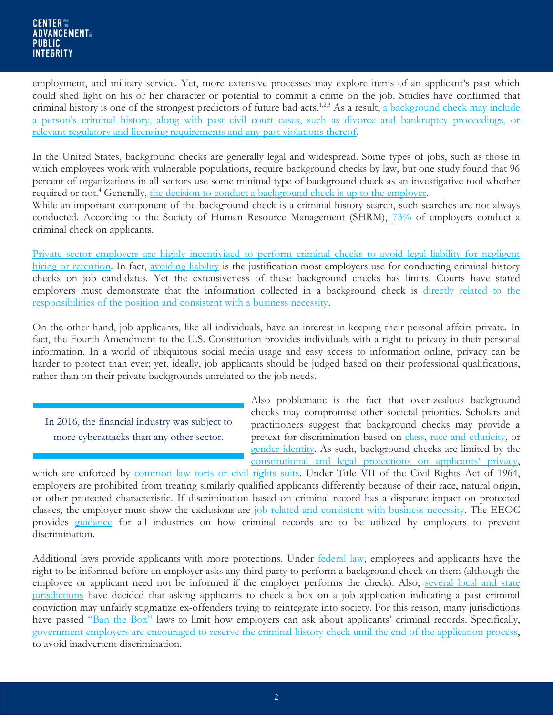employment, and military service. Yet, more extensive processes may explore items of an applicant's past which could shed light on his or her character or potential to commit a crime on the job. Studies have confirmed that criminal history is one of the strongest predictors of future bad acts.<sup>1,2,3</sup> As a result, a background check may include a [person's criminal history, along with past civil court cases, such as divorce and bankruptcy proceedings, or](https://www.napbs.com/resources/about-screening)  [relevant regulatory and licensing requirements and any past violations thereof.](https://www.napbs.com/resources/about-screening)

In the United States, background checks are generally legal and widespread. Some types of jobs, such as those in which employees work with vulnerable populations, require background checks by law, but one study found that 96 percent of organizations in all sectors use some minimal type of background check as an investigative tool whether required or not.<sup>4</sup> Generally, [the decision to conduct a background check is up to the employer.](http://jandonline.org/article/S2212-2672(16)00102-7/fulltext)

While an important component of the background check is a criminal history search, such searches are not always conducted. According to the Society of Human Resource Management (SHRM),  $73\%$  of employers conduct a criminal check on applicants.

[Private sector employers are highly incentivized to perform criminal checks to avoid legal liability for negligent](http://onlinelibrary.wiley.com/doi/10.1111/basr.12074/abstract)  [hiring or retention.](http://onlinelibrary.wiley.com/doi/10.1111/basr.12074/abstract) In fact, [avoiding liability](https://www.shrm.org/hr-today/trends-and-forecasting/research-and-surveys/Pages/criminalbackgroundcheck.aspx) is the justification most employers use for conducting criminal history checks on job candidates. Yet the extensiveness of these background checks has limits. Courts have stated employers must demonstrate that the information collected in a background check is [directly related to the](http://jandonline.org/article/S2212-2672(16)00102-7/fulltext)  [responsibilities of the position and consistent with a business necessity.](http://jandonline.org/article/S2212-2672(16)00102-7/fulltext)

On the other hand, job applicants, like all individuals, have an interest in keeping their personal affairs private. In fact, the Fourth Amendment to the U.S. Constitution provides individuals with a right to privacy in their personal information. In a world of ubiquitous social media usage and easy access to information online, privacy can be harder to protect than ever; yet, ideally, job applicants should be judged based on their professional qualifications, rather than on their private backgrounds unrelated to the job needs.

In 2016, the financial industry was subject to more cyberattacks than any other sector.

Also problematic is the fact that over-zealous background checks may compromise other societal priorities. Scholars and practitioners suggest that background checks may provide a pretext for discrimination based on [class,](http://harvardcrcl.org/wp-content/uploads/2009/06/HLC105.pdf) [race and ethnicity,](https://litigation-essentials.lexisnexis.com/webcd/app?action=DocumentDisplay&crawlid=1&doctype=cite&docid=25+S.+Cal.+Interdis.+L.J.+395&srctype=smi&srcid=3B15&key=c013ac787d8840896854942252936d52) or [gender identity.](https://harvardlawreview.org/2013/04/eeoc-affirms-protections-for-transgender-employees-ae-macy-v-holder-no-0120120821-2012-wl-1435995-e-e-o-c-apr-20-2012/) As such, background checks are limited by the [constitutional and legal protections on applicants' privacy](http://digitalcommons.ilr.cornell.edu/lawfirms/62/),

which are enforced by [common law torts or civil rights suits.](https://www.americanbar.org/publications/gp_solo/2012/november_december2012privacyandconfidentiality/to_snoop_or_not_privacy_rights_applicants_potential_employees.html) Under Title VII of the Civil Rights Act of 1964, employers are prohibited from treating similarly qualified applicants differently because of their race, natural origin, or other protected characteristic. If discrimination based on criminal record has a disparate impact on protected classes, the employer must show the exclusions are [job related and consistent with business necessity.](https://www.eeoc.gov/eeoc/publications/background_checks_employers.cfm) The EEOC provides [guidance](https://www.eeoc.gov/laws/practices/inquiries_arrest_conviction.cfm) for all industries on how criminal records are to be utilized by employers to prevent discrimination.

Additional laws provide applicants with more protections. Under [federal law,](http://digitalcommons.ilr.cornell.edu/lawfirms/62/) employees and applicants have the right to be informed before an employer asks any third party to perform a background check on them (although the employee or applicant need not be informed if the employer performs the check). Also, several local and state [jurisdictions](https://www.nytimes.com/2015/03/01/business/out-of-trouble-but-criminal-records-keep-men-out-of-work.html?_r=0) have decided that asking applicants to check a box on a job application indicating a past criminal conviction may unfairly stigmatize ex-offenders trying to reintegrate into society. For this reason, many jurisdictions have passed ["Ban the Box"](http://harvardcrcl.org/wp-content/uploads/2009/06/HLC105.pdf) laws to limit how employers can ask about applicants' criminal records. Specifically, [government employers are encouraged to reserve the criminal history check until the end of the application process,](https://www.nytimes.com/2016/04/29/us/politics/criminal-history-job-applicants-prisoners-background-check.html) to avoid inadvertent discrimination.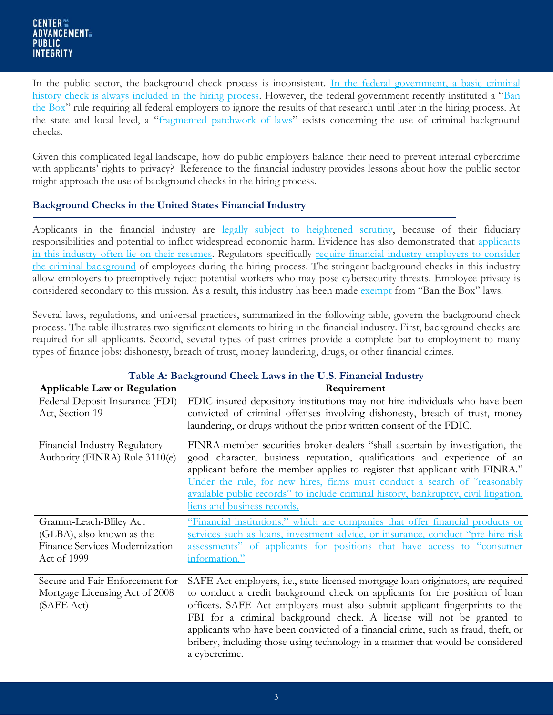In the public sector, the background check process is inconsistent. In the federal government, a basic criminal [history check is always included in the hiring process.](https://www.shrm.org/resourcesandtools/hr-topics/talent-acquisition/pages/2017-employment-screening-trends.aspx) However, the federal government recently instituted a "Ban [the Box](https://www.shrm.org/resourcesandtools/hr-topics/talent-acquisition/pages/2017-employment-screening-trends.aspx)" rule requiring all federal employers to ignore the results of that research until later in the hiring process. At the state and local level, a "[fragmented patchwork of laws](https://www.shrm.org/resourcesandtools/hr-topics/talent-acquisition/pages/2017-employment-screening-trends.aspx)" exists concerning the use of criminal background checks.

Given this complicated legal landscape, how do public employers balance their need to prevent internal cybercrime with applicants' rights to privacy? Reference to the financial industry provides lessons about how the public sector might approach the use of background checks in the hiring process.

#### **Background Checks in the United States Financial Industry**

Applicants in the financial industry are [legally subject to heightened scrutiny,](http://www.ponemon.org/blog/2015-cost-of-cyber-crime-united-states) because of their fiduciary responsibilities and potential to inflict widespread economic harm. Evidence has also demonstrated that [applicants](https://www.shrm.org/resourcesandtools/tools-and-samples/toolkits/pages/conductingbackgroundinvestigations.aspx)  [in this industry often lie on their resumes.](https://www.shrm.org/resourcesandtools/tools-and-samples/toolkits/pages/conductingbackgroundinvestigations.aspx) Regulators specifically [require financial industry employers to consider](https://www.sifma.org/issues/legal,-compliance-and-administration/criminal-and-credit-background-check-restrictions/overview/)  [the criminal background](https://www.sifma.org/issues/legal,-compliance-and-administration/criminal-and-credit-background-check-restrictions/overview/) of employees during the hiring process. The stringent background checks in this industry allow employers to preemptively reject potential workers who may pose cybersecurity threats. Employee privacy is considered secondary to this mission. As a result, this industry has been made [exempt](http://www.jdsupra.com/legalnews/impact-of-ban-the-box-legislation-on-f-61990/) from "Ban the Box" laws.

Several laws, regulations, and universal practices, summarized in the following table, govern the background check process. The table illustrates two significant elements to hiring in the financial industry. First, background checks are required for all applicants. Second, several types of past crimes provide a complete bar to employment to many types of finance jobs: dishonesty, breach of trust, money laundering, drugs, or other financial crimes.

| <b>Applicable Law or Regulation</b>                                                                         | Twith the Background Officer Bawo in the Cio, I manefast mutuati<br>Requirement                                                                                                                                                                                                                                                                                                                                                                                                                                 |
|-------------------------------------------------------------------------------------------------------------|-----------------------------------------------------------------------------------------------------------------------------------------------------------------------------------------------------------------------------------------------------------------------------------------------------------------------------------------------------------------------------------------------------------------------------------------------------------------------------------------------------------------|
| Federal Deposit Insurance (FDI)<br>Act, Section 19                                                          | FDIC-insured depository institutions may not hire individuals who have been<br>convicted of criminal offenses involving dishonesty, breach of trust, money<br>laundering, or drugs without the prior written consent of the FDIC.                                                                                                                                                                                                                                                                               |
| Financial Industry Regulatory<br>Authority (FINRA) Rule 3110(e)                                             | FINRA-member securities broker-dealers "shall ascertain by investigation, the<br>good character, business reputation, qualifications and experience of an<br>applicant before the member applies to register that applicant with FINRA."<br>Under the rule, for new hires, firms must conduct a search of "reasonably<br>available public records" to include criminal history, bankruptcy, civil litigation,<br>liens and business records.                                                                    |
| Gramm-Leach-Bliley Act<br>(GLBA), also known as the<br><b>Finance Services Modernization</b><br>Act of 1999 | "Financial institutions," which are companies that offer financial products or<br>services such as loans, investment advice, or insurance, conduct "pre-hire risk<br>assessments" of applicants for positions that have access to "consumer<br>information."                                                                                                                                                                                                                                                    |
| Secure and Fair Enforcement for<br>Mortgage Licensing Act of 2008<br>(SAFE Act)                             | SAFE Act employers, i.e., state-licensed mortgage loan originators, are required<br>to conduct a credit background check on applicants for the position of loan<br>officers. SAFE Act employers must also submit applicant fingerprints to the<br>FBI for a criminal background check. A license will not be granted to<br>applicants who have been convicted of a financial crime, such as fraud, theft, or<br>bribery, including those using technology in a manner that would be considered<br>a cybercrime. |

#### **Table A: Background Check Laws in the U.S. Financial Industry**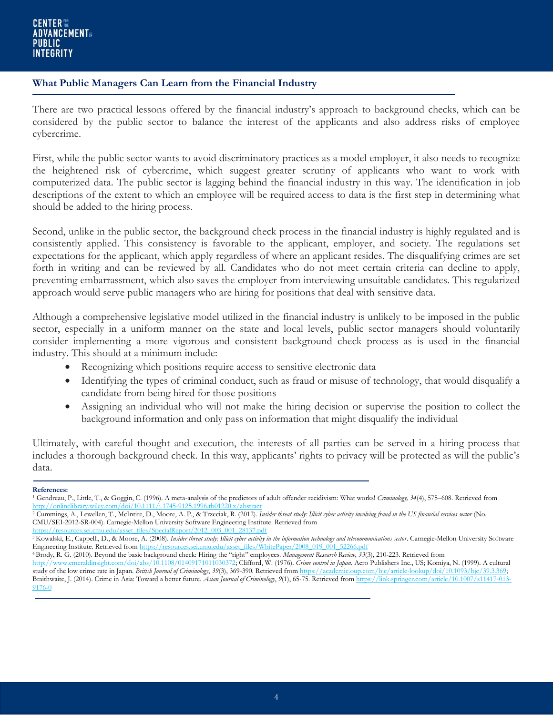#### **What Public Managers Can Learn from the Financial Industry**

There are two practical lessons offered by the financial industry's approach to background checks, which can be considered by the public sector to balance the interest of the applicants and also address risks of employee cybercrime.

First, while the public sector wants to avoid discriminatory practices as a model employer, it also needs to recognize the heightened risk of cybercrime, which suggest greater scrutiny of applicants who want to work with computerized data. The public sector is lagging behind the financial industry in this way. The identification in job descriptions of the extent to which an employee will be required access to data is the first step in determining what should be added to the hiring process.

Second, unlike in the public sector, the background check process in the financial industry is highly regulated and is consistently applied. This consistency is favorable to the applicant, employer, and society. The regulations set expectations for the applicant, which apply regardless of where an applicant resides. The disqualifying crimes are set forth in writing and can be reviewed by all. Candidates who do not meet certain criteria can decline to apply, preventing embarrassment, which also saves the employer from interviewing unsuitable candidates. This regularized approach would serve public managers who are hiring for positions that deal with sensitive data.

Although a comprehensive legislative model utilized in the financial industry is unlikely to be imposed in the public sector, especially in a uniform manner on the state and local levels, public sector managers should voluntarily consider implementing a more vigorous and consistent background check process as is used in the financial industry. This should at a minimum include:

- Recognizing which positions require access to sensitive electronic data
- Identifying the types of criminal conduct, such as fraud or misuse of technology, that would disqualify a candidate from being hired for those positions
- Assigning an individual who will not make the hiring decision or supervise the position to collect the background information and only pass on information that might disqualify the individual

Ultimately, with careful thought and execution, the interests of all parties can be served in a hiring process that includes a thorough background check. In this way, applicants' rights to privacy will be protected as will the public's data.

#### **References:**

[https://resources.sei.cmu.edu/asset\\_files/SpecialReport/2012\\_003\\_001\\_28137.pdf](https://resources.sei.cmu.edu/asset_files/SpecialReport/2012_003_001_28137.pdf)

<sup>4</sup>Brody, R. G. (2010). Beyond the basic background check: Hiring the "right" employees. *Management Research Review*, *33*(3), 210-223. Retrieved from

<sup>1</sup> Gendreau, P., Little, T., & Goggin, C. (1996). A meta-analysis of the predictors of adult offender recidivism: What works! *Criminology, 34*(4), 575–608. Retrieved from <http://onlinelibrary.wiley.com/doi/10.1111/j.1745-9125.1996.tb01220.x/abstract>ions.

<sup>2</sup> Cummings, A., Lewellen, T., McIntire, D., Moore, A. P., & Trzeciak, R. (2012). *Insider threat study: Illicit cyber activity involving fraud in the US financial services sector* (No. CMU/SEI-2012-SR-004). Carnegie-Mellon University Software Engineering Institute. Retrieved from

<sup>&</sup>lt;sup>3</sup> Kowalski, E., Cappelli, D., & Moore, A. (2008). Insider threat study: Illicit cyber activity in the information technology and telecommunications sector. Carnegie-Mellon University Software Engineering Institute. Retrieved fro[m https://resources.sei.cmu.edu/asset\\_files/WhitePaper/2008\\_019\\_001\\_52266.pdf](https://resources.sei.cmu.edu/asset_files/WhitePaper/2008_019_001_52266.pdf)

[http://www.emeraldinsight.com/doi/abs/10.1108/01409171011030372;](http://www.emeraldinsight.com/doi/abs/10.1108/01409171011030372) Clifford, W. (1976). *Crime control in Japan*. Aero Publishers Inc., US; Komiya, N. (1999). A cultural study of the low crime rate in Japan. *British Journal of Criminology*, *39*(3), 369-390. Retrieved fro[m https://academic.oup.com/bjc/article-lookup/doi/10.1093/bjc/39.3.369;](https://academic.oup.com/bjc/article-lookup/doi/10.1093/bjc/39.3.369)  Braithwaite, J. (2014). Crime in Asia: Toward a better future. *Asian Journal of Criminology*, *9*(1), 65-75. Retrieved fro[m https://link.springer.com/article/10.1007/s11417-013-](https://link.springer.com/article/10.1007/s11417-013-9176-0) [9176-0](https://link.springer.com/article/10.1007/s11417-013-9176-0)